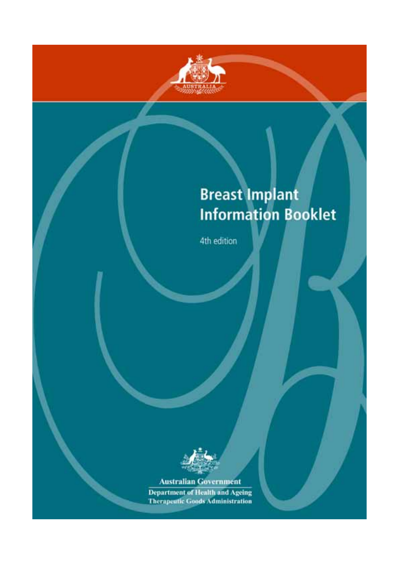

# **Breast Implant Information Booklet**

4th edition



**Australian Government** 

**Department of Health and Ageing Therapeutic Goods Administration**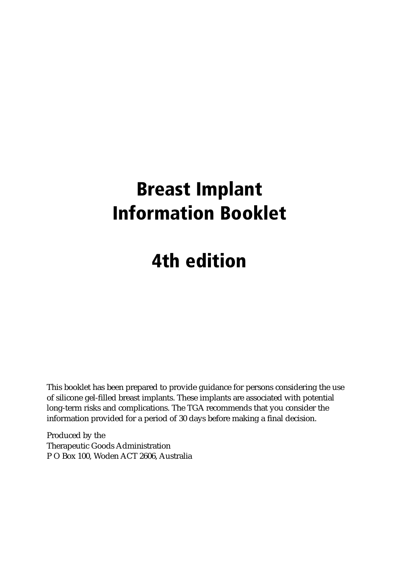# **Breast Implant Information Booklet**

# **4th edition**

This booklet has been prepared to provide guidance for persons considering the use of silicone gel-filled breast implants. These implants are associated with potential long-term risks and complications. The TGA recommends that you consider the information provided for a period of 30 days before making a final decision.

Produced by the Therapeutic Goods Administration P O Box 100, Woden ACT 2606, Australia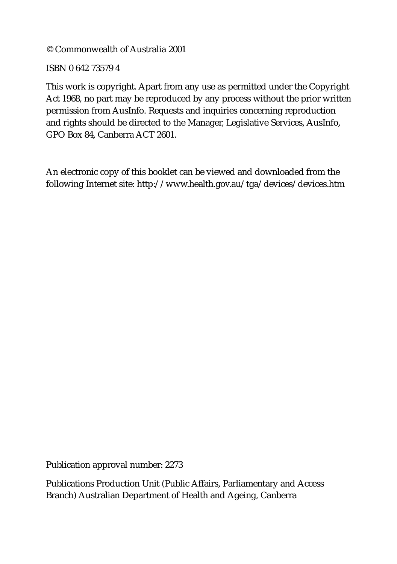© Commonwealth of Australia 2001

ISBN 0 642 73579 4

This work is copyright. Apart from any use as permitted under the Copyright Act 1968, no part may be reproduced by any process without the prior written permission from AusInfo. Requests and inquiries concerning reproduction and rights should be directed to the Manager, Legislative Services, AusInfo, GPO Box 84, Canberra ACT 2601.

An electronic copy of this booklet can be viewed and downloaded from the following Internet site: <http://www.health.gov.au/tga/devices/devices.htm>

Publication approval number: 2273

Publications Production Unit (Public Affairs, Parliamentary and Access Branch) Australian Department of Health and Ageing, Canberra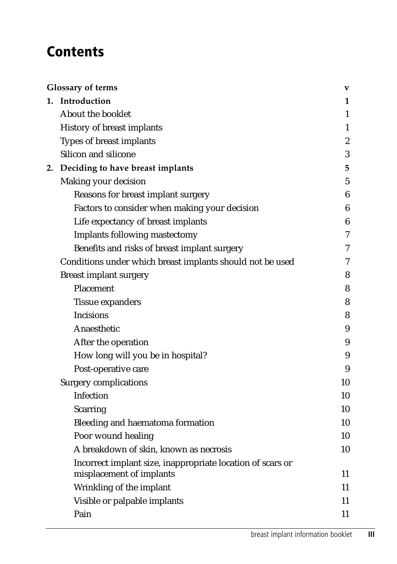## **Contents**

|                                                            | V                                                                                                                                                                                  |
|------------------------------------------------------------|------------------------------------------------------------------------------------------------------------------------------------------------------------------------------------|
|                                                            | 1                                                                                                                                                                                  |
| About the booklet                                          | 1                                                                                                                                                                                  |
| History of breast implants                                 | 1                                                                                                                                                                                  |
| Types of breast implants                                   | $\boldsymbol{2}$                                                                                                                                                                   |
| Silicon and silicone                                       | 3                                                                                                                                                                                  |
|                                                            | 5                                                                                                                                                                                  |
| Making your decision                                       | $\mathbf 5$                                                                                                                                                                        |
| Reasons for breast implant surgery                         | 6                                                                                                                                                                                  |
| Factors to consider when making your decision              | 6                                                                                                                                                                                  |
| Life expectancy of breast implants                         | 6                                                                                                                                                                                  |
| <b>Implants following mastectomy</b>                       | 7                                                                                                                                                                                  |
| Benefits and risks of breast implant surgery               | 7                                                                                                                                                                                  |
| Conditions under which breast implants should not be used  | 7                                                                                                                                                                                  |
| <b>Breast implant surgery</b>                              | 8                                                                                                                                                                                  |
| Placement                                                  | 8                                                                                                                                                                                  |
| <b>Tissue expanders</b>                                    | 8                                                                                                                                                                                  |
| <b>Incisions</b>                                           | 8                                                                                                                                                                                  |
| Anaesthetic                                                | 9                                                                                                                                                                                  |
| After the operation                                        | 9                                                                                                                                                                                  |
| How long will you be in hospital?                          | 9                                                                                                                                                                                  |
| Post-operative care                                        | 9                                                                                                                                                                                  |
| <b>Surgery complications</b>                               | 10                                                                                                                                                                                 |
| Infection                                                  | 10                                                                                                                                                                                 |
| <b>Scarring</b>                                            | 10                                                                                                                                                                                 |
| Bleeding and haematoma formation                           | 10                                                                                                                                                                                 |
| Poor wound healing                                         | 10                                                                                                                                                                                 |
| A breakdown of skin, known as necrosis                     | 10                                                                                                                                                                                 |
| Incorrect implant size, inappropriate location of scars or | 11                                                                                                                                                                                 |
|                                                            | 11                                                                                                                                                                                 |
|                                                            | 11                                                                                                                                                                                 |
|                                                            | 11                                                                                                                                                                                 |
|                                                            | <b>Glossary of terms</b><br>1. Introduction<br>2. Deciding to have breast implants<br>misplacement of implants<br>Wrinkling of the implant<br>Visible or palpable implants<br>Pain |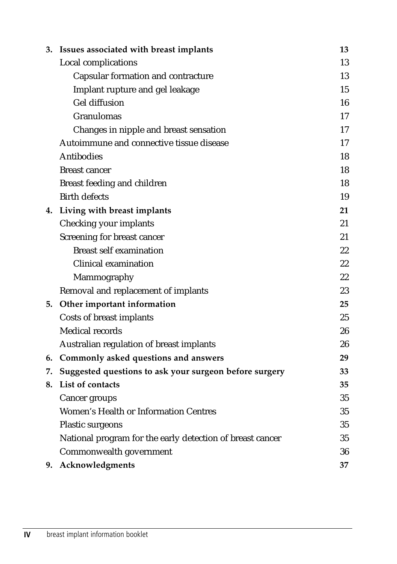|    | 3. Issues associated with breast implants                 | 13 |
|----|-----------------------------------------------------------|----|
|    | Local complications                                       | 13 |
|    | Capsular formation and contracture                        | 13 |
|    | Implant rupture and gel leakage                           | 15 |
|    | <b>Gel diffusion</b>                                      | 16 |
|    | Granulomas                                                | 17 |
|    | Changes in nipple and breast sensation                    | 17 |
|    | Autoimmune and connective tissue disease                  | 17 |
|    | <b>Antibodies</b>                                         | 18 |
|    | <b>Breast cancer</b>                                      | 18 |
|    | Breast feeding and children                               | 18 |
|    | <b>Birth defects</b>                                      | 19 |
|    | 4. Living with breast implants                            | 21 |
|    | Checking your implants                                    | 21 |
|    | Screening for breast cancer                               | 21 |
|    | <b>Breast self examination</b>                            | 22 |
|    | Clinical examination                                      | 22 |
|    | Mammography                                               | 22 |
|    | Removal and replacement of implants                       | 23 |
|    | 5. Other important information                            | 25 |
|    | Costs of breast implants                                  | 25 |
|    | <b>Medical records</b>                                    | 26 |
|    | Australian regulation of breast implants                  | 26 |
|    | 6. Commonly asked questions and answers                   | 29 |
| 7. | Suggested questions to ask your surgeon before surgery    | 33 |
| 8. | List of contacts                                          | 35 |
|    | Cancer groups                                             | 35 |
|    | <b>Women's Health or Information Centres</b>              | 35 |
|    | Plastic surgeons                                          | 35 |
|    | National program for the early detection of breast cancer | 35 |
|    | Commonwealth government                                   | 36 |
| 9. | Acknowledgments                                           | 37 |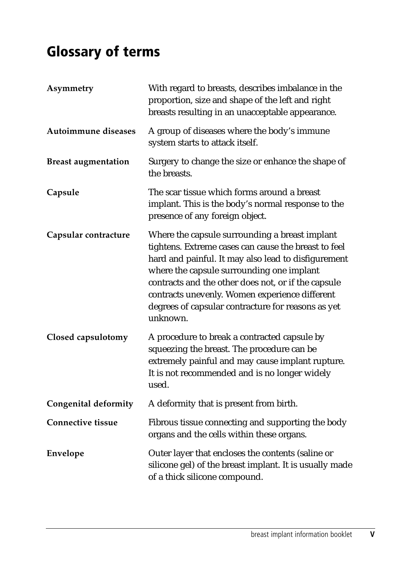## <span id="page-5-0"></span>**Glossary of terms**

| Asymmetry                   | With regard to breasts, describes imbalance in the<br>proportion, size and shape of the left and right<br>breasts resulting in an unacceptable appearance.                                                                                                                                                                                                                            |
|-----------------------------|---------------------------------------------------------------------------------------------------------------------------------------------------------------------------------------------------------------------------------------------------------------------------------------------------------------------------------------------------------------------------------------|
| Autoimmune diseases         | A group of diseases where the body's immune<br>system starts to attack itself.                                                                                                                                                                                                                                                                                                        |
| <b>Breast augmentation</b>  | Surgery to change the size or enhance the shape of<br>the breasts.                                                                                                                                                                                                                                                                                                                    |
| Capsule                     | The scar tissue which forms around a breast<br>implant. This is the body's normal response to the<br>presence of any foreign object.                                                                                                                                                                                                                                                  |
| Capsular contracture        | Where the capsule surrounding a breast implant<br>tightens. Extreme cases can cause the breast to feel<br>hard and painful. It may also lead to disfigurement<br>where the capsule surrounding one implant<br>contracts and the other does not, or if the capsule<br>contracts unevenly. Women experience different<br>degrees of capsular contracture for reasons as yet<br>unknown. |
| Closed capsulotomy          | A procedure to break a contracted capsule by<br>squeezing the breast. The procedure can be<br>extremely painful and may cause implant rupture.<br>It is not recommended and is no longer widely<br>used.                                                                                                                                                                              |
| <b>Congenital deformity</b> | A deformity that is present from birth.                                                                                                                                                                                                                                                                                                                                               |
| <b>Connective tissue</b>    | Fibrous tissue connecting and supporting the body<br>organs and the cells within these organs.                                                                                                                                                                                                                                                                                        |
| Envelope                    | Outer layer that encloses the contents (saline or<br>silicone gel) of the breast implant. It is usually made<br>of a thick silicone compound.                                                                                                                                                                                                                                         |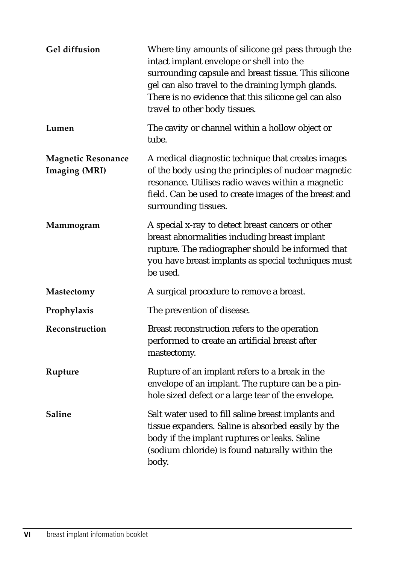| Gel diffusion                                     | Where tiny amounts of silicone gel pass through the<br>intact implant envelope or shell into the<br>surrounding capsule and breast tissue. This silicone<br>gel can also travel to the draining lymph glands.<br>There is no evidence that this silicone gel can also<br>travel to other body tissues. |
|---------------------------------------------------|--------------------------------------------------------------------------------------------------------------------------------------------------------------------------------------------------------------------------------------------------------------------------------------------------------|
| Lumen                                             | The cavity or channel within a hollow object or<br>tube.                                                                                                                                                                                                                                               |
| <b>Magnetic Resonance</b><br><b>Imaging (MRI)</b> | A medical diagnostic technique that creates images<br>of the body using the principles of nuclear magnetic<br>resonance. Utilises radio waves within a magnetic<br>field. Can be used to create images of the breast and<br>surrounding tissues.                                                       |
| Mammogram                                         | A special x-ray to detect breast cancers or other<br>breast abnormalities including breast implant<br>rupture. The radiographer should be informed that<br>you have breast implants as special techniques must<br>be used.                                                                             |
| <b>Mastectomy</b>                                 | A surgical procedure to remove a breast.                                                                                                                                                                                                                                                               |
| Prophylaxis                                       | The prevention of disease.                                                                                                                                                                                                                                                                             |
| Reconstruction                                    | Breast reconstruction refers to the operation<br>performed to create an artificial breast after<br>mastectomy.                                                                                                                                                                                         |
| Rupture                                           | Rupture of an implant refers to a break in the<br>envelope of an implant. The rupture can be a pin-<br>hole sized defect or a large tear of the envelope.                                                                                                                                              |
| <b>Saline</b>                                     | Salt water used to fill saline breast implants and<br>tissue expanders. Saline is absorbed easily by the<br>body if the implant ruptures or leaks. Saline<br>(sodium chloride) is found naturally within the<br>body.                                                                                  |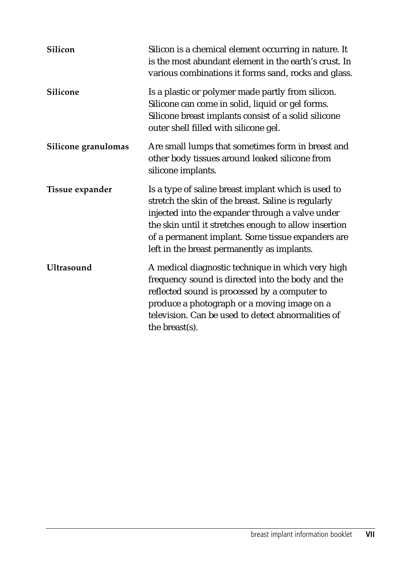| Silicon             | Silicon is a chemical element occurring in nature. It<br>is the most abundant element in the earth's crust. In<br>various combinations it forms sand, rocks and glass.                                                                                                                                                      |
|---------------------|-----------------------------------------------------------------------------------------------------------------------------------------------------------------------------------------------------------------------------------------------------------------------------------------------------------------------------|
| Silicone            | Is a plastic or polymer made partly from silicon.<br>Silicone can come in solid, liquid or gel forms.<br>Silicone breast implants consist of a solid silicone<br>outer shell filled with silicone gel.                                                                                                                      |
| Silicone granulomas | Are small lumps that sometimes form in breast and<br>other body tissues around leaked silicone from<br>silicone implants.                                                                                                                                                                                                   |
| Tissue expander     | Is a type of saline breast implant which is used to<br>stretch the skin of the breast. Saline is regularly<br>injected into the expander through a valve under<br>the skin until it stretches enough to allow insertion<br>of a permanent implant. Some tissue expanders are<br>left in the breast permanently as implants. |
| <b>Ultrasound</b>   | A medical diagnostic technique in which very high<br>frequency sound is directed into the body and the<br>reflected sound is processed by a computer to<br>produce a photograph or a moving image on a<br>television. Can be used to detect abnormalities of<br>the breast(s).                                              |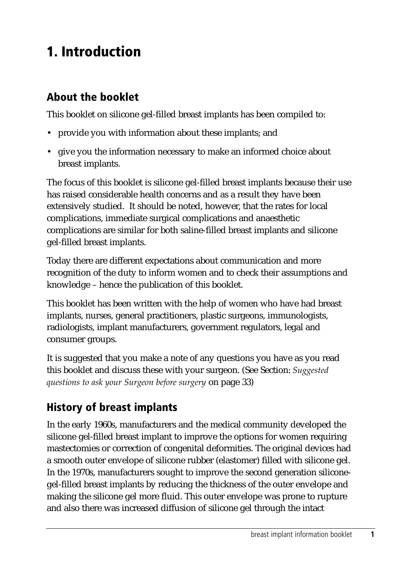## <span id="page-8-0"></span>**1. Introduction**

## **About the booklet**

This booklet on silicone gel-filled breast implants has been compiled to:

- provide you with information about these implants; and
- give you the information necessary to make an informed choice about breast implants.

The focus of this booklet is silicone gel-filled breast implants because their use has raised considerable health concerns and as a result they have been extensively studied. It should be noted, however, that the rates for local complications, immediate surgical complications and anaesthetic complications are similar for both saline-filled breast implants and silicone gel-filled breast implants.

Today there are different expectations about communication and more recognition of the duty to inform women and to check their assumptions and knowledge – hence the publication of this booklet.

This booklet has been written with the help of women who have had breast implants, nurses, general practitioners, plastic surgeons, immunologists, radiologists, implant manufacturers, government regulators, legal and consumer groups.

It is suggested that you make a note of any questions you have as you read this booklet and discuss these with your surgeon. (See Section: *Suggested questions to ask your Surgeon before surgery* on page 33)

## **History of breast implants**

In the early 1960s, manufacturers and the medical community developed the silicone gel-filled breast implant to improve the options for women requiring mastectomies or correction of congenital deformities. The original devices had a smooth outer envelope of silicone rubber (elastomer) filled with silicone gel. In the 1970s, manufacturers sought to improve the second generation siliconegel-filled breast implants by reducing the thickness of the outer envelope and making the silicone gel more fluid. This outer envelope was prone to rupture and also there was increased diffusion of silicone gel through the intact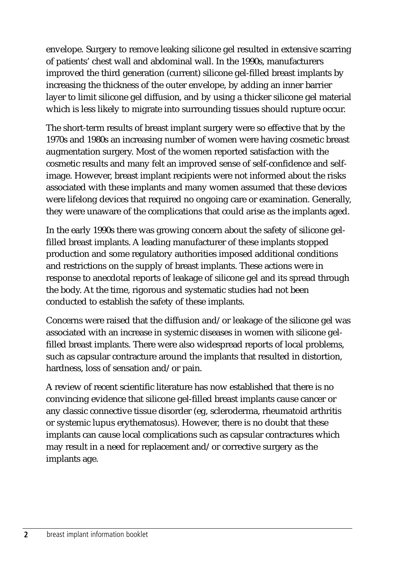envelope. Surgery to remove leaking silicone gel resulted in extensive scarring of patients' chest wall and abdominal wall. In the 1990s, manufacturers improved the third generation (current) silicone gel-filled breast implants by increasing the thickness of the outer envelope, by adding an inner barrier layer to limit silicone gel diffusion, and by using a thicker silicone gel material which is less likely to migrate into surrounding tissues should rupture occur.

The short-term results of breast implant surgery were so effective that by the 1970s and 1980s an increasing number of women were having cosmetic breast augmentation surgery. Most of the women reported satisfaction with the cosmetic results and many felt an improved sense of self-confidence and selfimage. However, breast implant recipients were not informed about the risks associated with these implants and many women assumed that these devices were lifelong devices that required no ongoing care or examination. Generally, they were unaware of the complications that could arise as the implants aged.

In the early 1990s there was growing concern about the safety of silicone gelfilled breast implants. A leading manufacturer of these implants stopped production and some regulatory authorities imposed additional conditions and restrictions on the supply of breast implants. These actions were in response to anecdotal reports of leakage of silicone gel and its spread through the body. At the time, rigorous and systematic studies had not been conducted to establish the safety of these implants.

Concerns were raised that the diffusion and/or leakage of the silicone gel was associated with an increase in systemic diseases in women with silicone gelfilled breast implants. There were also widespread reports of local problems, such as capsular contracture around the implants that resulted in distortion, hardness, loss of sensation and/or pain.

A review of recent scientific literature has now established that there is no convincing evidence that silicone gel-filled breast implants cause cancer or any classic connective tissue disorder (eg, scleroderma, rheumatoid arthritis or systemic lupus erythematosus). However, there is no doubt that these implants can cause local complications such as capsular contractures which may result in a need for replacement and/or corrective surgery as the implants age.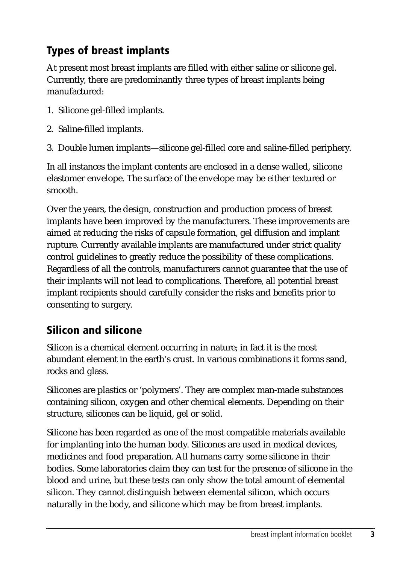## <span id="page-10-0"></span>**Types of breast implants**

At present most breast implants are filled with either saline or silicone gel. Currently, there are predominantly three types of breast implants being manufactured:

- 1. Silicone gel-filled implants.
- 2. Saline-filled implants.
- 3. Double lumen implants—silicone gel-filled core and saline-filled periphery.

In all instances the implant contents are enclosed in a dense walled, silicone elastomer envelope. The surface of the envelope may be either textured or smooth.

Over the years, the design, construction and production process of breast implants have been improved by the manufacturers. These improvements are aimed at reducing the risks of capsule formation, gel diffusion and implant rupture. Currently available implants are manufactured under strict quality control guidelines to greatly reduce the possibility of these complications. Regardless of all the controls, manufacturers cannot guarantee that the use of their implants will not lead to complications. Therefore, all potential breast implant recipients should carefully consider the risks and benefits prior to consenting to surgery.

## **Silicon and silicone**

Silicon is a chemical element occurring in nature; in fact it is the most abundant element in the earth's crust. In various combinations it forms sand, rocks and glass.

Silicones are plastics or 'polymers'. They are complex man-made substances containing silicon, oxygen and other chemical elements. Depending on their structure, silicones can be liquid, gel or solid.

Silicone has been regarded as one of the most compatible materials available for implanting into the human body. Silicones are used in medical devices, medicines and food preparation. All humans carry some silicone in their bodies. Some laboratories claim they can test for the presence of silicone in the blood and urine, but these tests can only show the total amount of elemental silicon. They cannot distinguish between elemental silicon, which occurs naturally in the body, and silicone which may be from breast implants.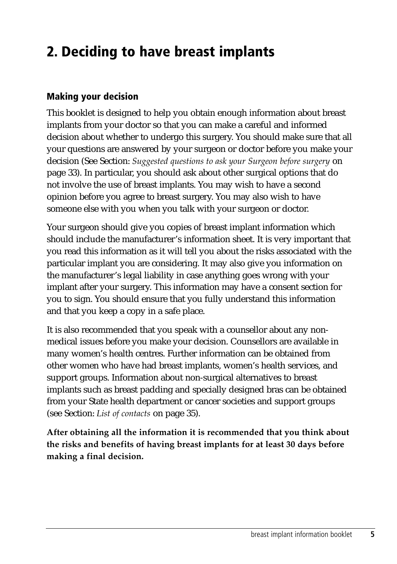## <span id="page-12-0"></span>**2. Deciding to have breast implants**

#### **Making your decision**

This booklet is designed to help you obtain enough information about breast implants from your doctor so that you can make a careful and informed decision about whether to undergo this surgery. You should make sure that all your questions are answered by your surgeon or doctor before you make your decision (See Section: *Suggested questions to ask your Surgeon before surgery* on page 33). In particular, you should ask about other surgical options that do not involve the use of breast implants. You may wish to have a second opinion before you agree to breast surgery. You may also wish to have someone else with you when you talk with your surgeon or doctor.

Your surgeon should give you copies of breast implant information which should include the manufacturer's information sheet. It is very important that you read this information as it will tell you about the risks associated with the particular implant you are considering. It may also give you information on the manufacturer's legal liability in case anything goes wrong with your implant after your surgery. This information may have a consent section for you to sign. You should ensure that you fully understand this information and that you keep a copy in a safe place.

It is also recommended that you speak with a counsellor about any nonmedical issues before you make your decision. Counsellors are available in many women's health centres. Further information can be obtained from other women who have had breast implants, women's health services, and support groups. Information about non-surgical alternatives to breast implants such as breast padding and specially designed bras can be obtained from your State health department or cancer societies and support groups (see Section: *List of contacts* on page 35).

**After obtaining all the information it is recommended that you think about the risks and benefits of having breast implants for at least 30 days before making a final decision.**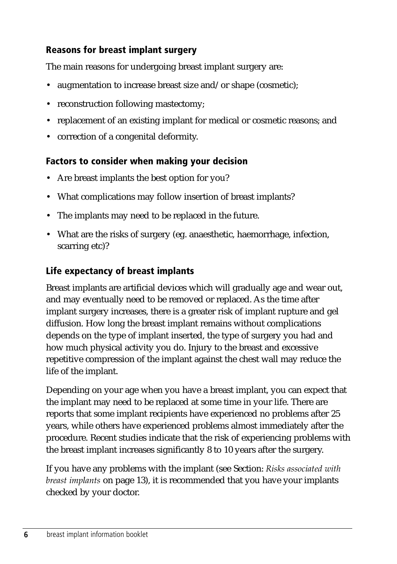### <span id="page-13-0"></span>**Reasons for breast implant surgery**

The main reasons for undergoing breast implant surgery are:

- augmentation to increase breast size and/or shape (cosmetic);
- reconstruction following mastectomy;
- replacement of an existing implant for medical or cosmetic reasons; and
- correction of a congenital deformity.

#### **Factors to consider when making your decision**

- Are breast implants the best option for you?
- What complications may follow insertion of breast implants?
- The implants may need to be replaced in the future.
- What are the risks of surgery (eg. anaesthetic, haemorrhage, infection, scarring etc)?

#### **Life expectancy of breast implants**

Breast implants are artificial devices which will gradually age and wear out, and may eventually need to be removed or replaced. As the time after implant surgery increases, there is a greater risk of implant rupture and gel diffusion. How long the breast implant remains without complications depends on the type of implant inserted, the type of surgery you had and how much physical activity you do. Injury to the breast and excessive repetitive compression of the implant against the chest wall may reduce the life of the implant.

Depending on your age when you have a breast implant, you can expect that the implant may need to be replaced at some time in your life. There are reports that some implant recipients have experienced no problems after 25 years, while others have experienced problems almost immediately after the procedure. Recent studies indicate that the risk of experiencing problems with the breast implant increases significantly 8 to 10 years after the surgery.

If you have any problems with the implant (see Section: *Risks associated with breast implants* on page 13), it is recommended that you have your implants checked by your doctor.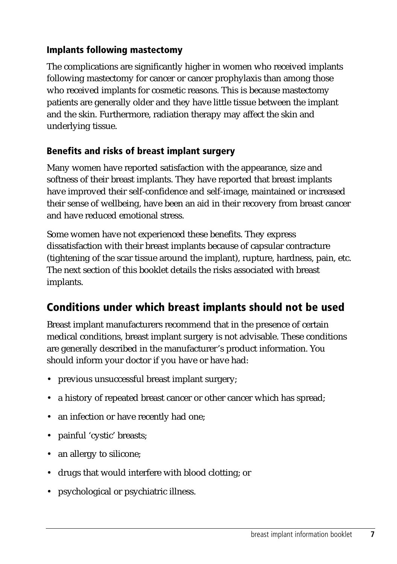### <span id="page-14-0"></span>**Implants following mastectomy**

The complications are significantly higher in women who received implants following mastectomy for cancer or cancer prophylaxis than among those who received implants for cosmetic reasons. This is because mastectomy patients are generally older and they have little tissue between the implant and the skin. Furthermore, radiation therapy may affect the skin and underlying tissue.

### **Benefits and risks of breast implant surgery**

Many women have reported satisfaction with the appearance, size and softness of their breast implants. They have reported that breast implants have improved their self-confidence and self-image, maintained or increased their sense of wellbeing, have been an aid in their recovery from breast cancer and have reduced emotional stress.

Some women have not experienced these benefits. They express dissatisfaction with their breast implants because of capsular contracture (tightening of the scar tissue around the implant), rupture, hardness, pain, etc. The next section of this booklet details the risks associated with breast implants.

## **Conditions under which breast implants should not be used**

Breast implant manufacturers recommend that in the presence of certain medical conditions, breast implant surgery is not advisable. These conditions are generally described in the manufacturer's product information. You should inform your doctor if you have or have had:

- previous unsuccessful breast implant surgery;
- a history of repeated breast cancer or other cancer which has spread;
- an infection or have recently had one;
- painful 'cystic' breasts;
- an allergy to silicone;
- drugs that would interfere with blood clotting; or
- psychological or psychiatric illness.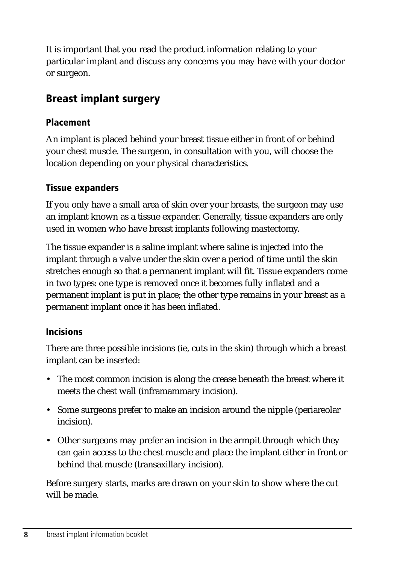<span id="page-15-0"></span>It is important that you read the product information relating to your particular implant and discuss any concerns you may have with your doctor or surgeon.

## **Breast implant surgery**

### **Placement**

An implant is placed behind your breast tissue either in front of or behind your chest muscle. The surgeon, in consultation with you, will choose the location depending on your physical characteristics.

### **Tissue expanders**

If you only have a small area of skin over your breasts, the surgeon may use an implant known as a tissue expander. Generally, tissue expanders are only used in women who have breast implants following mastectomy.

The tissue expander is a saline implant where saline is injected into the implant through a valve under the skin over a period of time until the skin stretches enough so that a permanent implant will fit. Tissue expanders come in two types: one type is removed once it becomes fully inflated and a permanent implant is put in place; the other type remains in your breast as a permanent implant once it has been inflated.

#### **Incisions**

There are three possible incisions (ie, cuts in the skin) through which a breast implant can be inserted:

- The most common incision is along the crease beneath the breast where it meets the chest wall (inframammary incision).
- Some surgeons prefer to make an incision around the nipple (periareolar incision).
- Other surgeons may prefer an incision in the armpit through which they can gain access to the chest muscle and place the implant either in front or behind that muscle (transaxillary incision).

Before surgery starts, marks are drawn on your skin to show where the cut will be made.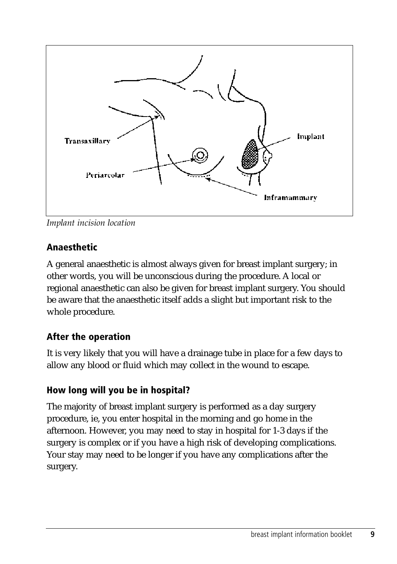<span id="page-16-0"></span>

*Implant incision location*

## **Anaesthetic**

A general anaesthetic is almost always given for breast implant surgery; in other words, you will be unconscious during the procedure. A local or regional anaesthetic can also be given for breast implant surgery. You should be aware that the anaesthetic itself adds a slight but important risk to the whole procedure.

## **After the operation**

It is very likely that you will have a drainage tube in place for a few days to allow any blood or fluid which may collect in the wound to escape.

## **How long will you be in hospital?**

The majority of breast implant surgery is performed as a day surgery procedure, ie, you enter hospital in the morning and go home in the afternoon. However, you may need to stay in hospital for 1-3 days if the surgery is complex or if you have a high risk of developing complications. Your stay may need to be longer if you have any complications after the surgery.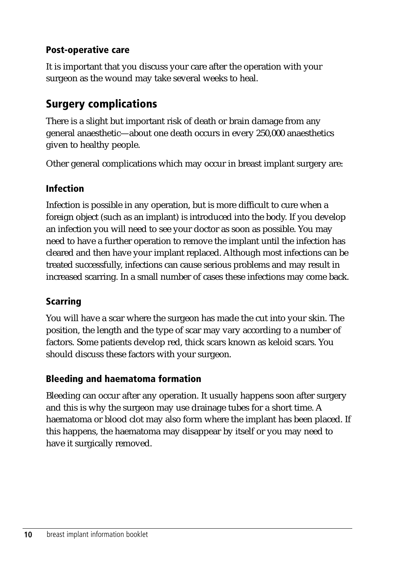### <span id="page-17-0"></span>**Post-operative care**

It is important that you discuss your care after the operation with your surgeon as the wound may take several weeks to heal.

## **Surgery complications**

There is a slight but important risk of death or brain damage from any general anaesthetic—about one death occurs in every 250,000 anaesthetics given to healthy people.

Other general complications which may occur in breast implant surgery are:

## **Infection**

Infection is possible in any operation, but is more difficult to cure when a foreign object (such as an implant) is introduced into the body. If you develop an infection you will need to see your doctor as soon as possible. You may need to have a further operation to remove the implant until the infection has cleared and then have your implant replaced. Although most infections can be treated successfully, infections can cause serious problems and may result in increased scarring. In a small number of cases these infections may come back.

## **Scarring**

You will have a scar where the surgeon has made the cut into your skin. The position, the length and the type of scar may vary according to a number of factors. Some patients develop red, thick scars known as keloid scars. You should discuss these factors with your surgeon.

## **Bleeding and haematoma formation**

Bleeding can occur after any operation. It usually happens soon after surgery and this is why the surgeon may use drainage tubes for a short time. A haematoma or blood clot may also form where the implant has been placed. If this happens, the haematoma may disappear by itself or you may need to have it surgically removed.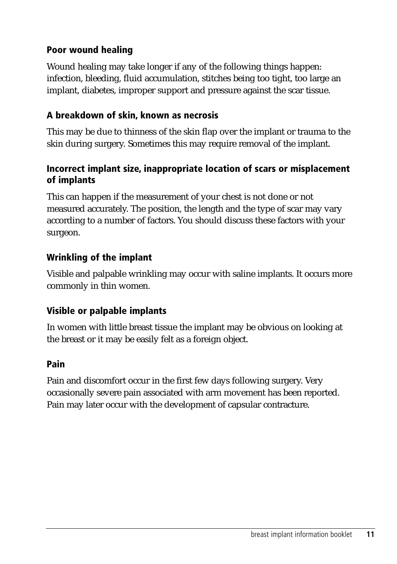#### <span id="page-18-0"></span>**Poor wound healing**

Wound healing may take longer if any of the following things happen: infection, bleeding, fluid accumulation, stitches being too tight, too large an implant, diabetes, improper support and pressure against the scar tissue.

#### **A breakdown of skin, known as necrosis**

This may be due to thinness of the skin flap over the implant or trauma to the skin during surgery. Sometimes this may require removal of the implant.

#### **Incorrect implant size, inappropriate location of scars or misplacement of implants**

This can happen if the measurement of your chest is not done or not measured accurately. The position, the length and the type of scar may vary according to a number of factors. You should discuss these factors with your surgeon.

#### **Wrinkling of the implant**

Visible and palpable wrinkling may occur with saline implants. It occurs more commonly in thin women.

#### **Visible or palpable implants**

In women with little breast tissue the implant may be obvious on looking at the breast or it may be easily felt as a foreign object.

#### **Pain**

Pain and discomfort occur in the first few days following surgery. Very occasionally severe pain associated with arm movement has been reported. Pain may later occur with the development of capsular contracture.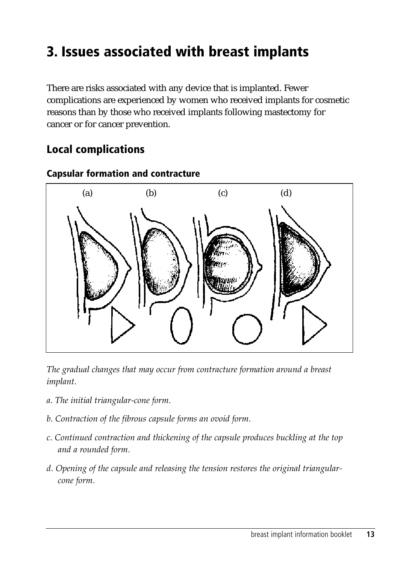## <span id="page-20-0"></span>**3. Issues associated with breast implants**

There are risks associated with any device that is implanted. Fewer complications are experienced by women who received implants for cosmetic reasons than by those who received implants following mastectomy for cancer or for cancer prevention.

## **Local complications**



#### **Capsular formation and contracture**

*The gradual changes that may occur from contracture formation around a breast implant.*

- *a. The initial triangular-cone form.*
- *b. Contraction of the fibrous capsule forms an ovoid form.*
- *c. Continued contraction and thickening of the capsule produces buckling at the top and a rounded form.*
- *d. Opening of the capsule and releasing the tension restores the original triangularcone form.*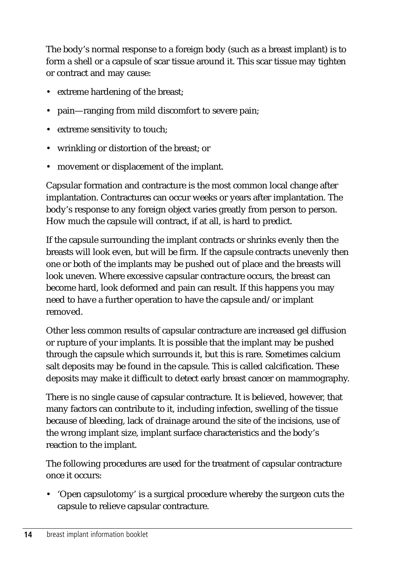The body's normal response to a foreign body (such as a breast implant) is to form a shell or a capsule of scar tissue around it. This scar tissue may tighten or contract and may cause:

- extreme hardening of the breast;
- pain—ranging from mild discomfort to severe pain;
- extreme sensitivity to touch;
- wrinkling or distortion of the breast; or
- movement or displacement of the implant.

Capsular formation and contracture is the most common local change after implantation. Contractures can occur weeks or years after implantation. The body's response to any foreign object varies greatly from person to person. How much the capsule will contract, if at all, is hard to predict.

If the capsule surrounding the implant contracts or shrinks evenly then the breasts will look even, but will be firm. If the capsule contracts unevenly then one or both of the implants may be pushed out of place and the breasts will look uneven. Where excessive capsular contracture occurs, the breast can become hard, look deformed and pain can result. If this happens you may need to have a further operation to have the capsule and/or implant removed.

Other less common results of capsular contracture are increased gel diffusion or rupture of your implants. It is possible that the implant may be pushed through the capsule which surrounds it, but this is rare. Sometimes calcium salt deposits may be found in the capsule. This is called calcification. These deposits may make it difficult to detect early breast cancer on mammography.

There is no single cause of capsular contracture. It is believed, however, that many factors can contribute to it, including infection, swelling of the tissue because of bleeding, lack of drainage around the site of the incisions, use of the wrong implant size, implant surface characteristics and the body's reaction to the implant.

The following procedures are used for the treatment of capsular contracture once it occurs:

• 'Open capsulotomy' is a surgical procedure whereby the surgeon cuts the capsule to relieve capsular contracture.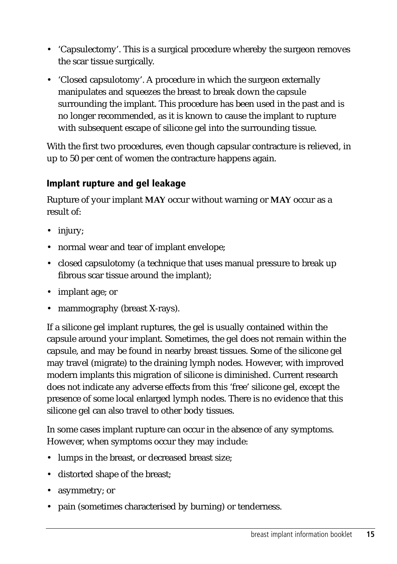- <span id="page-22-0"></span>• 'Capsulectomy'. This is a surgical procedure whereby the surgeon removes the scar tissue surgically.
- 'Closed capsulotomy'. A procedure in which the surgeon externally manipulates and squeezes the breast to break down the capsule surrounding the implant. This procedure has been used in the past and is no longer recommended, as it is known to cause the implant to rupture with subsequent escape of silicone gel into the surrounding tissue.

With the first two procedures, even though capsular contracture is relieved, in up to 50 per cent of women the contracture happens again.

#### **Implant rupture and gel leakage**

Rupture of your implant **MAY** occur without warning or **MAY** occur as a result of:

- injury;
- normal wear and tear of implant envelope;
- closed capsulotomy (a technique that uses manual pressure to break up fibrous scar tissue around the implant);
- implant age; or
- mammography (breast X-rays).

If a silicone gel implant ruptures, the gel is usually contained within the capsule around your implant. Sometimes, the gel does not remain within the capsule, and may be found in nearby breast tissues. Some of the silicone gel may travel (migrate) to the draining lymph nodes. However, with improved modern implants this migration of silicone is diminished. Current research does not indicate any adverse effects from this 'free' silicone gel, except the presence of some local enlarged lymph nodes. There is no evidence that this silicone gel can also travel to other body tissues.

In some cases implant rupture can occur in the absence of any symptoms. However, when symptoms occur they may include:

- lumps in the breast, or decreased breast size;
- distorted shape of the breast;
- asymmetry; or
- pain (sometimes characterised by burning) or tenderness.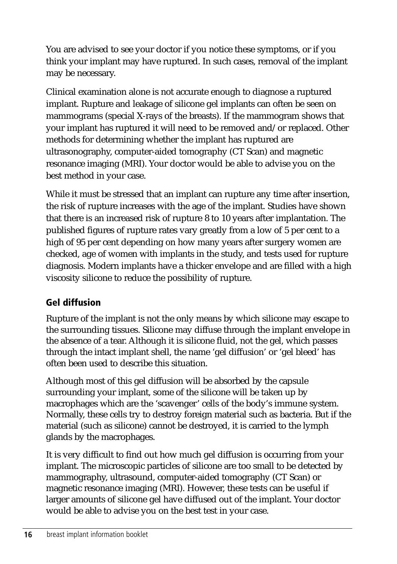<span id="page-23-0"></span>You are advised to see your doctor if you notice these symptoms, or if you think your implant may have ruptured. In such cases, removal of the implant may be necessary.

Clinical examination alone is not accurate enough to diagnose a ruptured implant. Rupture and leakage of silicone gel implants can often be seen on mammograms (special X-rays of the breasts). If the mammogram shows that your implant has ruptured it will need to be removed and/or replaced. Other methods for determining whether the implant has ruptured are ultrasonography, computer-aided tomography (CT Scan) and magnetic resonance imaging (MRI). Your doctor would be able to advise you on the best method in your case.

While it must be stressed that an implant can rupture any time after insertion, the risk of rupture increases with the age of the implant. Studies have shown that there is an increased risk of rupture 8 to 10 years after implantation. The published figures of rupture rates vary greatly from a low of 5 per cent to a high of 95 per cent depending on how many years after surgery women are checked, age of women with implants in the study, and tests used for rupture diagnosis. Modern implants have a thicker envelope and are filled with a high viscosity silicone to reduce the possibility of rupture.

## **Gel diffusion**

Rupture of the implant is not the only means by which silicone may escape to the surrounding tissues. Silicone may diffuse through the implant envelope in the absence of a tear. Although it is silicone fluid, not the gel, which passes through the intact implant shell, the name 'gel diffusion' or 'gel bleed' has often been used to describe this situation.

Although most of this gel diffusion will be absorbed by the capsule surrounding your implant, some of the silicone will be taken up by macrophages which are the 'scavenger' cells of the body's immune system. Normally, these cells try to destroy foreign material such as bacteria. But if the material (such as silicone) cannot be destroyed, it is carried to the lymph glands by the macrophages.

It is very difficult to find out how much gel diffusion is occurring from your implant. The microscopic particles of silicone are too small to be detected by mammography, ultrasound, computer-aided tomography (CT Scan) or magnetic resonance imaging (MRI). However, these tests can be useful if larger amounts of silicone gel have diffused out of the implant. Your doctor would be able to advise you on the best test in your case.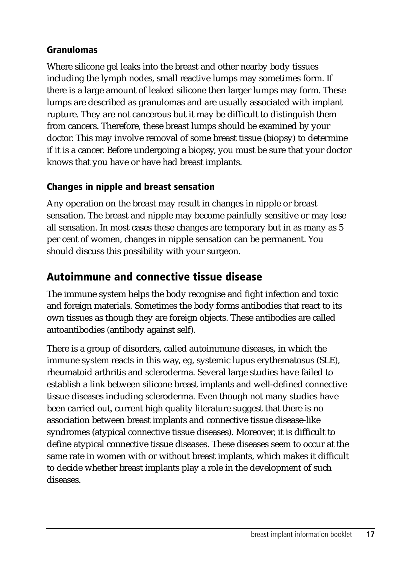#### <span id="page-24-0"></span>**Granulomas**

Where silicone gel leaks into the breast and other nearby body tissues including the lymph nodes, small reactive lumps may sometimes form. If there is a large amount of leaked silicone then larger lumps may form. These lumps are described as granulomas and are usually associated with implant rupture. They are not cancerous but it may be difficult to distinguish them from cancers. Therefore, these breast lumps should be examined by your doctor. This may involve removal of some breast tissue (biopsy) to determine if it is a cancer. Before undergoing a biopsy, you must be sure that your doctor knows that you have or have had breast implants.

#### **Changes in nipple and breast sensation**

Any operation on the breast may result in changes in nipple or breast sensation. The breast and nipple may become painfully sensitive or may lose all sensation. In most cases these changes are temporary but in as many as 5 per cent of women, changes in nipple sensation can be permanent. You should discuss this possibility with your surgeon.

## **Autoimmune and connective tissue disease**

The immune system helps the body recognise and fight infection and toxic and foreign materials. Sometimes the body forms antibodies that react to its own tissues as though they are foreign objects. These antibodies are called autoantibodies (antibody against self).

There is a group of disorders, called autoimmune diseases, in which the immune system reacts in this way, eg, systemic lupus erythematosus (SLE), rheumatoid arthritis and scleroderma. Several large studies have failed to establish a link between silicone breast implants and well-defined connective tissue diseases including scleroderma. Even though not many studies have been carried out, current high quality literature suggest that there is no association between breast implants and connective tissue disease-like syndromes (atypical connective tissue diseases). Moreover, it is difficult to define atypical connective tissue diseases. These diseases seem to occur at the same rate in women with or without breast implants, which makes it difficult to decide whether breast implants play a role in the development of such diseases.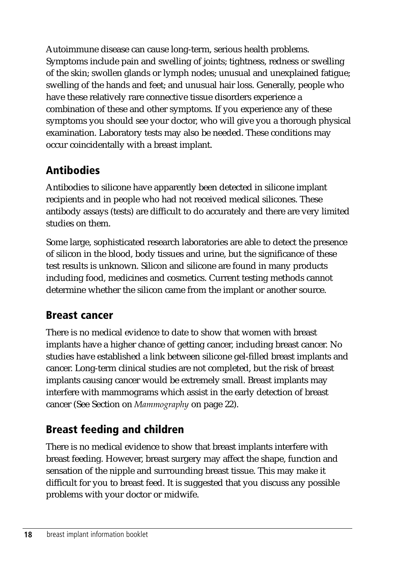<span id="page-25-0"></span>Autoimmune disease can cause long-term, serious health problems. Symptoms include pain and swelling of joints; tightness, redness or swelling of the skin; swollen glands or lymph nodes; unusual and unexplained fatigue; swelling of the hands and feet; and unusual hair loss. Generally, people who have these relatively rare connective tissue disorders experience a combination of these and other symptoms. If you experience any of these symptoms you should see your doctor, who will give you a thorough physical examination. Laboratory tests may also be needed. These conditions may occur coincidentally with a breast implant.

## **Antibodies**

Antibodies to silicone have apparently been detected in silicone implant recipients and in people who had not received medical silicones. These antibody assays (tests) are difficult to do accurately and there are very limited studies on them.

Some large, sophisticated research laboratories are able to detect the presence of silicon in the blood, body tissues and urine, but the significance of these test results is unknown. Silicon and silicone are found in many products including food, medicines and cosmetics. Current testing methods cannot determine whether the silicon came from the implant or another source.

## **Breast cancer**

There is no medical evidence to date to show that women with breast implants have a higher chance of getting cancer, including breast cancer. No studies have established a link between silicone gel-filled breast implants and cancer. Long-term clinical studies are not completed, but the risk of breast implants causing cancer would be extremely small. Breast implants may interfere with mammograms which assist in the early detection of breast cancer (See Section on *Mammography* on page 22).

## **Breast feeding and children**

There is no medical evidence to show that breast implants interfere with breast feeding. However, breast surgery may affect the shape, function and sensation of the nipple and surrounding breast tissue. This may make it difficult for you to breast feed. It is suggested that you discuss any possible problems with your doctor or midwife.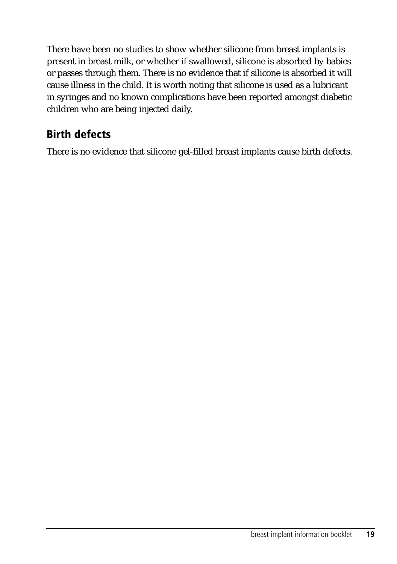<span id="page-26-0"></span>There have been no studies to show whether silicone from breast implants is present in breast milk, or whether if swallowed, silicone is absorbed by babies or passes through them. There is no evidence that if silicone is absorbed it will cause illness in the child. It is worth noting that silicone is used as a lubricant in syringes and no known complications have been reported amongst diabetic children who are being injected daily.

## **Birth defects**

There is no evidence that silicone gel-filled breast implants cause birth defects.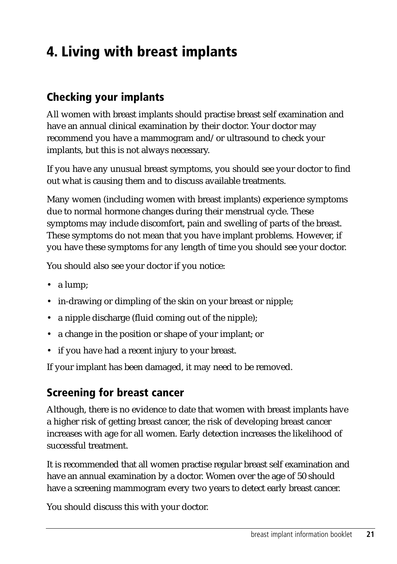## <span id="page-28-0"></span>**4. Living with breast implants**

## **Checking your implants**

All women with breast implants should practise breast self examination and have an annual clinical examination by their doctor. Your doctor may recommend you have a mammogram and/or ultrasound to check your implants, but this is not always necessary.

If you have any unusual breast symptoms, you should see your doctor to find out what is causing them and to discuss available treatments.

Many women (including women with breast implants) experience symptoms due to normal hormone changes during their menstrual cycle. These symptoms may include discomfort, pain and swelling of parts of the breast. These symptoms do not mean that you have implant problems. However, if you have these symptoms for any length of time you should see your doctor.

You should also see your doctor if you notice:

- a lump;
- in-drawing or dimpling of the skin on your breast or nipple;
- a nipple discharge (fluid coming out of the nipple);
- a change in the position or shape of your implant; or
- if you have had a recent injury to your breast.

If your implant has been damaged, it may need to be removed.

#### **Screening for breast cancer**

Although, there is no evidence to date that women with breast implants have a higher risk of getting breast cancer, the risk of developing breast cancer increases with age for all women. Early detection increases the likelihood of successful treatment.

It is recommended that all women practise regular breast self examination and have an annual examination by a doctor. Women over the age of 50 should have a screening mammogram every two years to detect early breast cancer.

You should discuss this with your doctor.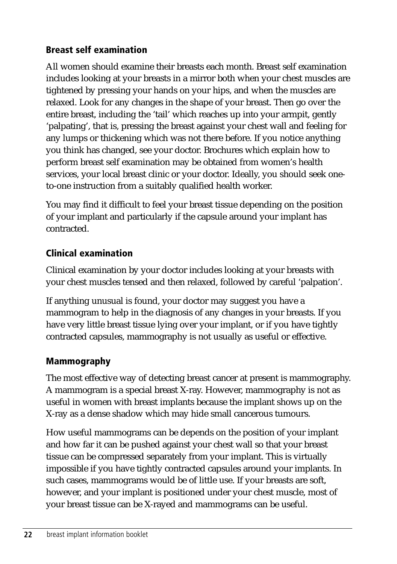#### <span id="page-29-0"></span>**Breast self examination**

All women should examine their breasts each month. Breast self examination includes looking at your breasts in a mirror both when your chest muscles are tightened by pressing your hands on your hips, and when the muscles are relaxed. Look for any changes in the shape of your breast. Then go over the entire breast, including the 'tail' which reaches up into your armpit, gently 'palpating', that is, pressing the breast against your chest wall and feeling for any lumps or thickening which was not there before. If you notice anything you think has changed, see your doctor. Brochures which explain how to perform breast self examination may be obtained from women's health services, your local breast clinic or your doctor. Ideally, you should seek oneto-one instruction from a suitably qualified health worker.

You may find it difficult to feel your breast tissue depending on the position of your implant and particularly if the capsule around your implant has contracted.

## **Clinical examination**

Clinical examination by your doctor includes looking at your breasts with your chest muscles tensed and then relaxed, followed by careful 'palpation'.

If anything unusual is found, your doctor may suggest you have a mammogram to help in the diagnosis of any changes in your breasts. If you have very little breast tissue lying over your implant, or if you have tightly contracted capsules, mammography is not usually as useful or effective.

## **Mammography**

The most effective way of detecting breast cancer at present is mammography. A mammogram is a special breast X-ray. However, mammography is not as useful in women with breast implants because the implant shows up on the X-ray as a dense shadow which may hide small cancerous tumours.

How useful mammograms can be depends on the position of your implant and how far it can be pushed against your chest wall so that your breast tissue can be compressed separately from your implant. This is virtually impossible if you have tightly contracted capsules around your implants. In such cases, mammograms would be of little use. If your breasts are soft, however, and your implant is positioned under your chest muscle, most of your breast tissue can be X-rayed and mammograms can be useful.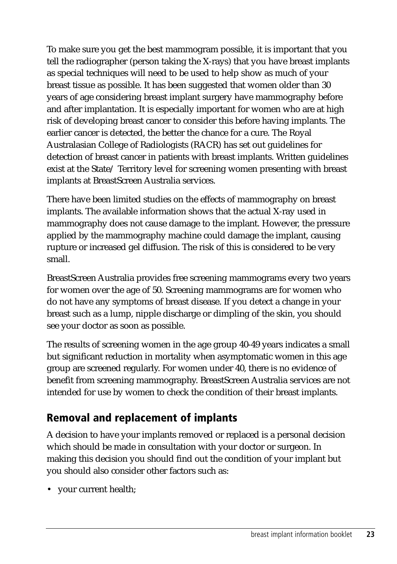<span id="page-30-0"></span>To make sure you get the best mammogram possible, it is important that you tell the radiographer (person taking the X-rays) that you have breast implants as special techniques will need to be used to help show as much of your breast tissue as possible. It has been suggested that women older than 30 years of age considering breast implant surgery have mammography before and after implantation. It is especially important for women who are at high risk of developing breast cancer to consider this before having implants. The earlier cancer is detected, the better the chance for a cure. The Royal Australasian College of Radiologists (RACR) has set out guidelines for detection of breast cancer in patients with breast implants. Written guidelines exist at the State/ Territory level for screening women presenting with breast implants at BreastScreen Australia services.

There have been limited studies on the effects of mammography on breast implants. The available information shows that the actual X-ray used in mammography does not cause damage to the implant. However, the pressure applied by the mammography machine could damage the implant, causing rupture or increased gel diffusion. The risk of this is considered to be very small.

BreastScreen Australia provides free screening mammograms every two years for women over the age of 50. Screening mammograms are for women who do not have any symptoms of breast disease. If you detect a change in your breast such as a lump, nipple discharge or dimpling of the skin, you should see your doctor as soon as possible.

The results of screening women in the age group 40-49 years indicates a small but significant reduction in mortality when asymptomatic women in this age group are screened regularly. For women under 40, there is no evidence of benefit from screening mammography. BreastScreen Australia services are not intended for use by women to check the condition of their breast implants.

## **Removal and replacement of implants**

A decision to have your implants removed or replaced is a personal decision which should be made in consultation with your doctor or surgeon. In making this decision you should find out the condition of your implant but you should also consider other factors such as:

• your current health;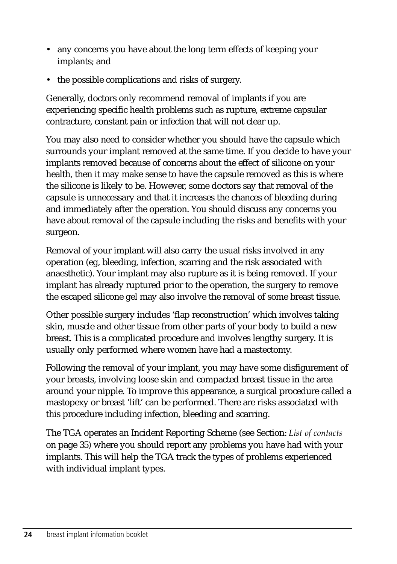- any concerns you have about the long term effects of keeping your implants; and
- the possible complications and risks of surgery.

Generally, doctors only recommend removal of implants if you are experiencing specific health problems such as rupture, extreme capsular contracture, constant pain or infection that will not clear up.

You may also need to consider whether you should have the capsule which surrounds your implant removed at the same time. If you decide to have your implants removed because of concerns about the effect of silicone on your health, then it may make sense to have the capsule removed as this is where the silicone is likely to be. However, some doctors say that removal of the capsule is unnecessary and that it increases the chances of bleeding during and immediately after the operation. You should discuss any concerns you have about removal of the capsule including the risks and benefits with your surgeon.

Removal of your implant will also carry the usual risks involved in any operation (eg, bleeding, infection, scarring and the risk associated with anaesthetic). Your implant may also rupture as it is being removed. If your implant has already ruptured prior to the operation, the surgery to remove the escaped silicone gel may also involve the removal of some breast tissue.

Other possible surgery includes 'flap reconstruction' which involves taking skin, muscle and other tissue from other parts of your body to build a new breast. This is a complicated procedure and involves lengthy surgery. It is usually only performed where women have had a mastectomy.

Following the removal of your implant, you may have some disfigurement of your breasts, involving loose skin and compacted breast tissue in the area around your nipple. To improve this appearance, a surgical procedure called a mastopexy or breast 'lift' can be performed. There are risks associated with this procedure including infection, bleeding and scarring.

The TGA operates an Incident Reporting Scheme (see Section: *List of contacts* on page 35) where you should report any problems you have had with your implants. This will help the TGA track the types of problems experienced with individual implant types.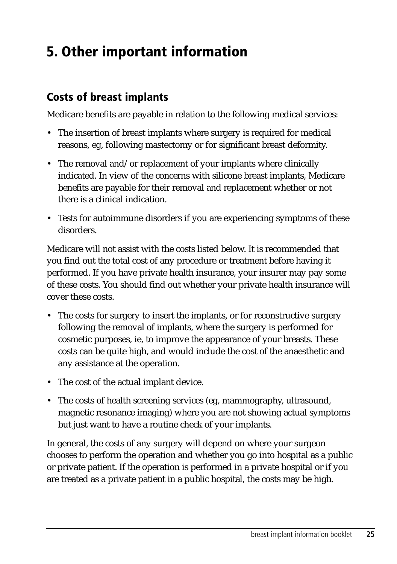## <span id="page-32-0"></span>**5. Other important information**

## **Costs of breast implants**

Medicare benefits are payable in relation to the following medical services:

- The insertion of breast implants where surgery is required for medical reasons, eg, following mastectomy or for significant breast deformity.
- The removal and/or replacement of your implants where clinically indicated. In view of the concerns with silicone breast implants, Medicare benefits are payable for their removal and replacement whether or not there is a clinical indication.
- Tests for autoimmune disorders if you are experiencing symptoms of these disorders.

Medicare will not assist with the costs listed below. It is recommended that you find out the total cost of any procedure or treatment before having it performed. If you have private health insurance, your insurer may pay some of these costs. You should find out whether your private health insurance will cover these costs.

- The costs for surgery to insert the implants, or for reconstructive surgery following the removal of implants, where the surgery is performed for cosmetic purposes, ie, to improve the appearance of your breasts. These costs can be quite high, and would include the cost of the anaesthetic and any assistance at the operation.
- The cost of the actual implant device.
- The costs of health screening services (eg, mammography, ultrasound, magnetic resonance imaging) where you are not showing actual symptoms but just want to have a routine check of your implants.

In general, the costs of any surgery will depend on where your surgeon chooses to perform the operation and whether you go into hospital as a public or private patient. If the operation is performed in a private hospital or if you are treated as a private patient in a public hospital, the costs may be high.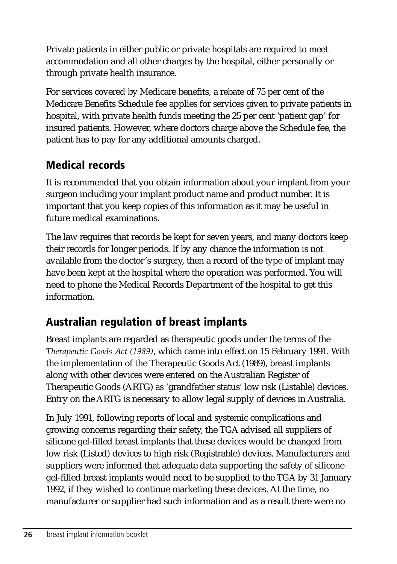<span id="page-33-0"></span>Private patients in either public or private hospitals are required to meet accommodation and all other charges by the hospital, either personally or through private health insurance.

For services covered by Medicare benefits, a rebate of 75 per cent of the Medicare Benefits Schedule fee applies for services given to private patients in hospital, with private health funds meeting the 25 per cent 'patient gap' for insured patients. However, where doctors charge above the Schedule fee, the patient has to pay for any additional amounts charged.

## **Medical records**

It is recommended that you obtain information about your implant from your surgeon including your implant product name and product number. It is important that you keep copies of this information as it may be useful in future medical examinations.

The law requires that records be kept for seven years, and many doctors keep their records for longer periods. If by any chance the information is not available from the doctor's surgery, then a record of the type of implant may have been kept at the hospital where the operation was performed. You will need to phone the Medical Records Department of the hospital to get this information.

## **Australian regulation of breast implants**

Breast implants are regarded as therapeutic goods under the terms of the *Therapeutic Goods Act (1989)*, which came into effect on 15 February 1991. With the implementation of the Therapeutic Goods Act (1989), breast implants along with other devices were entered on the Australian Register of Therapeutic Goods (ARTG) as 'grandfather status' low risk (Listable) devices. Entry on the ARTG is necessary to allow legal supply of devices in Australia.

In July 1991, following reports of local and systemic complications and growing concerns regarding their safety, the TGA advised all suppliers of silicone gel-filled breast implants that these devices would be changed from low risk (Listed) devices to high risk (Registrable) devices. Manufacturers and suppliers were informed that adequate data supporting the safety of silicone gel-filled breast implants would need to be supplied to the TGA by 31 January 1992, if they wished to continue marketing these devices. At the time, no manufacturer or supplier had such information and as a result there were no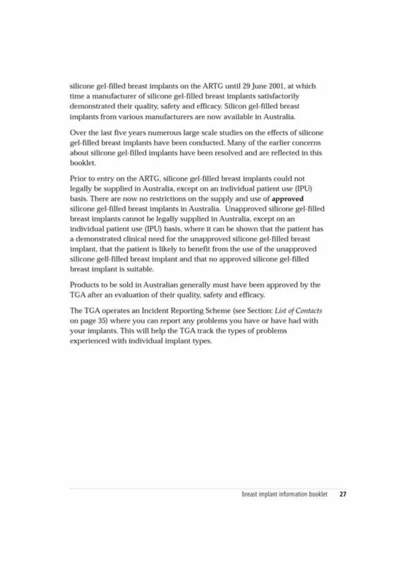silicone gel-filled breast implants on the ARTG until 29 June 2001, at which time a manufacturer of silicone gel-filled breast implants satisfactorily demonstrated their quality, safety and efficacy. Silicon gel-filled breast implants from various manufacturers are now available in Australia.

Over the last five years numerous large scale studies on the effects of silicone gel-filled breast implants have been conducted. Many of the earlier concerns about silicone gel-filled implants have been resolved and are reflected in this booklet.

Prior to entry on the ARTG, silicone gel-filled breast implants could not legally be supplied in Australia, except on an individual patient use (IPU) basis. There are now no restrictions on the supply and use of approved silicone gel-filled breast implants in Australia. Unapproved silicone gel-filled breast implants cannot be legally supplied in Australia, except on an individual patient use (IPU) basis, where it can be shown that the patient has a demonstrated clinical need for the unapproved silicone gel-filled breast implant, that the patient is likely to benefit from the use of the unapproved silicone gell-filled breast implant and that no approved silicone gel-filled breast implant is suitable.

Products to be sold in Australian generally must have been approved by the TGA after an evaluation of their quality, safety and efficacy.

The TGA operates an Incident Reporting Scheme (see Section: List of Contacts on page 35) where you can report any problems you have or have had with your implants. This will help the TGA track the types of problems experienced with individual implant types.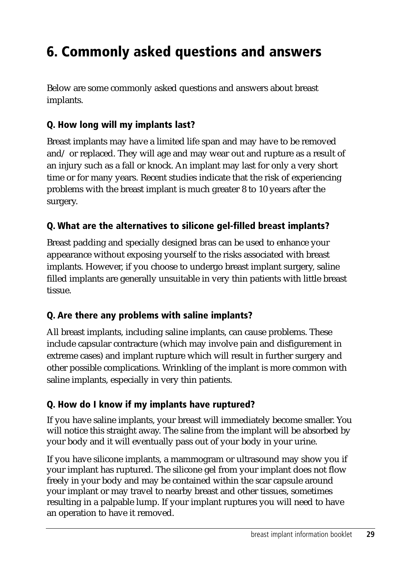## <span id="page-36-0"></span>**6. Commonly asked questions and answers**

Below are some commonly asked questions and answers about breast implants.

#### **Q. How long will my implants last?**

Breast implants may have a limited life span and may have to be removed and/ or replaced. They will age and may wear out and rupture as a result of an injury such as a fall or knock. An implant may last for only a very short time or for many years. Recent studies indicate that the risk of experiencing problems with the breast implant is much greater 8 to 10 years after the surgery.

#### **Q. What are the alternatives to silicone gel-filled breast implants?**

Breast padding and specially designed bras can be used to enhance your appearance without exposing yourself to the risks associated with breast implants. However, if you choose to undergo breast implant surgery, saline filled implants are generally unsuitable in very thin patients with little breast tissue.

#### **Q. Are there any problems with saline implants?**

All breast implants, including saline implants, can cause problems. These include capsular contracture (which may involve pain and disfigurement in extreme cases) and implant rupture which will result in further surgery and other possible complications. Wrinkling of the implant is more common with saline implants, especially in very thin patients.

#### **Q. How do I know if my implants have ruptured?**

If you have saline implants, your breast will immediately become smaller. You will notice this straight away. The saline from the implant will be absorbed by your body and it will eventually pass out of your body in your urine.

If you have silicone implants, a mammogram or ultrasound may show you if your implant has ruptured. The silicone gel from your implant does not flow freely in your body and may be contained within the scar capsule around your implant or may travel to nearby breast and other tissues, sometimes resulting in a palpable lump. If your implant ruptures you will need to have an operation to have it removed.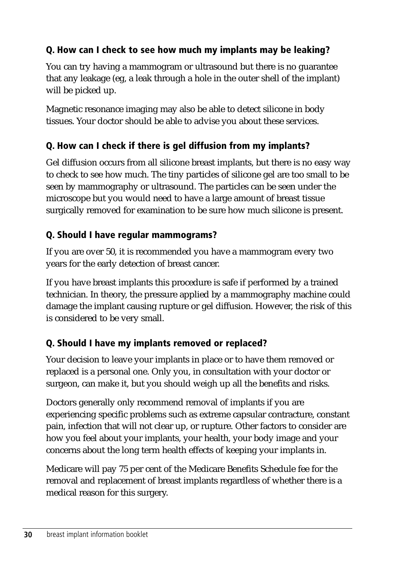## **Q. How can I check to see how much my implants may be leaking?**

You can try having a mammogram or ultrasound but there is no guarantee that any leakage (eg, a leak through a hole in the outer shell of the implant) will be picked up.

Magnetic resonance imaging may also be able to detect silicone in body tissues. Your doctor should be able to advise you about these services.

## **Q. How can I check if there is gel diffusion from my implants?**

Gel diffusion occurs from all silicone breast implants, but there is no easy way to check to see how much. The tiny particles of silicone gel are too small to be seen by mammography or ultrasound. The particles can be seen under the microscope but you would need to have a large amount of breast tissue surgically removed for examination to be sure how much silicone is present.

### **Q. Should I have regular mammograms?**

If you are over 50, it is recommended you have a mammogram every two years for the early detection of breast cancer.

If you have breast implants this procedure is safe if performed by a trained technician. In theory, the pressure applied by a mammography machine could damage the implant causing rupture or gel diffusion. However, the risk of this is considered to be very small.

## **Q. Should I have my implants removed or replaced?**

Your decision to leave your implants in place or to have them removed or replaced is a personal one. Only you, in consultation with your doctor or surgeon, can make it, but you should weigh up all the benefits and risks.

Doctors generally only recommend removal of implants if you are experiencing specific problems such as extreme capsular contracture, constant pain, infection that will not clear up, or rupture. Other factors to consider are how you feel about your implants, your health, your body image and your concerns about the long term health effects of keeping your implants in.

Medicare will pay 75 per cent of the Medicare Benefits Schedule fee for the removal and replacement of breast implants regardless of whether there is a medical reason for this surgery.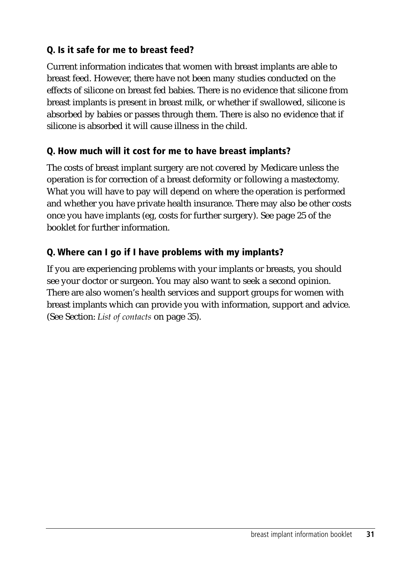## **Q. Is it safe for me to breast feed?**

Current information indicates that women with breast implants are able to breast feed. However, there have not been many studies conducted on the effects of silicone on breast fed babies. There is no evidence that silicone from breast implants is present in breast milk, or whether if swallowed, silicone is absorbed by babies or passes through them. There is also no evidence that if silicone is absorbed it will cause illness in the child.

#### **Q. How much will it cost for me to have breast implants?**

The costs of breast implant surgery are not covered by Medicare unless the operation is for correction of a breast deformity or following a mastectomy. What you will have to pay will depend on where the operation is performed and whether you have private health insurance. There may also be other costs once you have implants (eg, costs for further surgery). See page 25 of the booklet for further information.

## **Q. Where can I go if I have problems with my implants?**

If you are experiencing problems with your implants or breasts, you should see your doctor or surgeon. You may also want to seek a second opinion. There are also women's health services and support groups for women with breast implants which can provide you with information, support and advice. (See Section: *List of contacts* on page 35).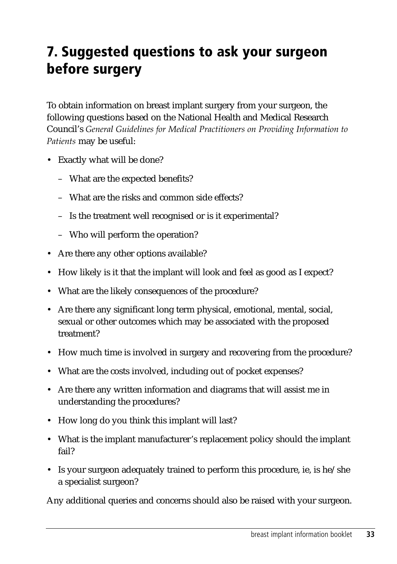## <span id="page-40-0"></span>**7. Suggested questions to ask your surgeon before surgery**

To obtain information on breast implant surgery from your surgeon, the following questions based on the National Health and Medical Research Council's *General Guidelines for Medical Practitioners on Providing Information to Patients* may be useful:

- Exactly what will be done?
	- What are the expected benefits?
	- What are the risks and common side effects?
	- Is the treatment well recognised or is it experimental?
	- Who will perform the operation?
- Are there any other options available?
- How likely is it that the implant will look and feel as good as I expect?
- What are the likely consequences of the procedure?
- Are there any significant long term physical, emotional, mental, social, sexual or other outcomes which may be associated with the proposed treatment?
- How much time is involved in surgery and recovering from the procedure?
- What are the costs involved, including out of pocket expenses?
- Are there any written information and diagrams that will assist me in understanding the procedures?
- How long do you think this implant will last?
- What is the implant manufacturer's replacement policy should the implant fail?
- Is your surgeon adequately trained to perform this procedure, ie, is he/she a specialist surgeon?

Any additional queries and concerns should also be raised with your surgeon.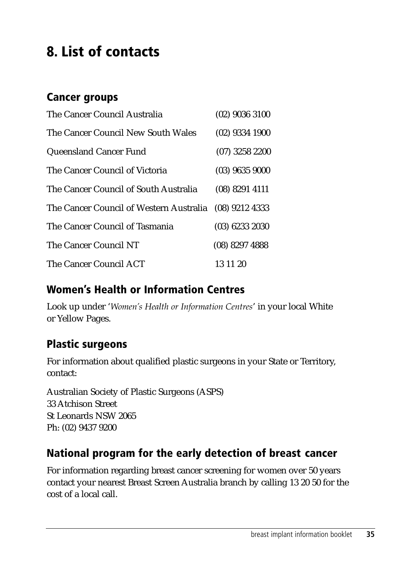## <span id="page-42-0"></span>**8. List of contacts**

## **Cancer groups**

| The Cancer Council Australia                           | $(02)$ 9036 3100 |
|--------------------------------------------------------|------------------|
| The Cancer Council New South Wales                     | $(02)$ 9334 1900 |
| Queensland Cancer Fund                                 | $(07)$ 3258 2200 |
| The Cancer Council of Victoria                         | $(03)$ 9635 9000 |
| The Cancer Council of South Australia                  | $(08)$ 8291 4111 |
| The Cancer Council of Western Australia (08) 9212 4333 |                  |
| The Cancer Council of Tasmania                         | $(03)$ 6233 2030 |
| The Cancer Council NT                                  | (08) 8297 4888   |
| The Cancer Council ACT                                 | 13 11 20         |

## **Women's Health or Information Centres**

Look up under '*Women's Health or Information Centres*' in your local White or Yellow Pages.

## **Plastic surgeons**

For information about qualified plastic surgeons in your State or Territory, contact:

Australian Society of Plastic Surgeons (ASPS) 33 Atchison Street St Leonards NSW 2065 Ph: (02) 9437 9200

## **National program for the early detection of breast cancer**

For information regarding breast cancer screening for women over 50 years contact your nearest Breast Screen Australia branch by calling 13 20 50 for the cost of a local call.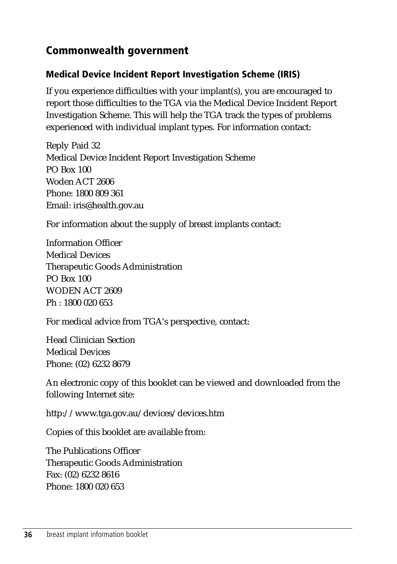## <span id="page-43-0"></span>**Commonwealth government**

#### **Medical Device Incident Report Investigation Scheme (IRIS)**

If you experience difficulties with your implant(s), you are encouraged to report those difficulties to the TGA via the Medical Device Incident Report Investigation Scheme. This will help the TGA track the types of problems experienced with individual implant types. For information contact:

Reply Paid 32 Medical Device Incident Report Investigation Scheme PO Box 100 Woden ACT 2606 Phone: 1800 809 361 Email: [iris@health.gov.au](mailto:iris@health.gov.au)

For information about the supply of breast implants contact:

Information Officer Medical Devices Therapeutic Goods Administration PO Box 100 WODEN ACT 2609 Ph : 1800 020 653

For medical advice from TGA's perspective, contact:

Head Clinician Section Medical Devices Phone: (02) 6232 8679

An electronic copy of this booklet can be viewed and downloaded from the following Internet site:

<http://www.tga.gov.au/devices/devices.htm>

Copies of this booklet are available from:

The Publications Officer Therapeutic Goods Administration Fax: (02) 6232 8616 Phone: 1800 020 653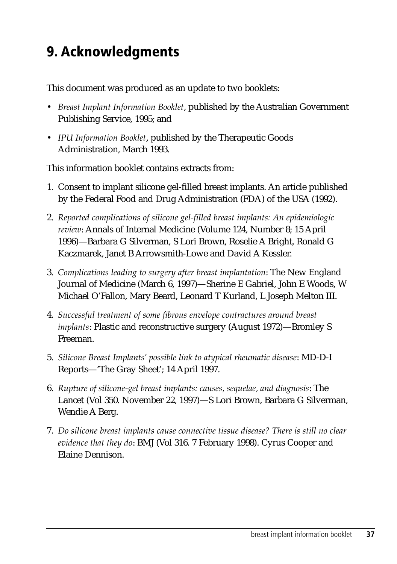## <span id="page-44-0"></span>**9. Acknowledgments**

This document was produced as an update to two booklets:

- *Breast Implant Information Booklet*, published by the Australian Government Publishing Service, 1995; and
- *IPU Information Booklet*, published by the Therapeutic Goods Administration, March 1993.

This information booklet contains extracts from:

- 1. Consent to implant silicone gel-filled breast implants. An article published by the Federal Food and Drug Administration (FDA) of the USA (1992).
- 2. *Reported complications of silicone gel-filled breast implants: An epidemiologic review*: Annals of Internal Medicine (Volume 124, Number 8; 15 April 1996)—Barbara G Silverman, S Lori Brown, Roselie A Bright, Ronald G Kaczmarek, Janet B Arrowsmith-Lowe and David A Kessler.
- 3. *Complications leading to surgery after breast implantation*: The New England Journal of Medicine (March 6, 1997)—Sherine E Gabriel, John E Woods, W Michael O'Fallon, Mary Beard, Leonard T Kurland, L Joseph Melton III.
- 4. *Successful treatment of some fibrous envelope contractures around breast implants*: Plastic and reconstructive surgery (August 1972)—Bromley S Freeman.
- 5. *Silicone Breast Implants' possible link to atypical rheumatic disease*: MD-D-I Reports—'The Gray Sheet'; 14 April 1997.
- 6. *Rupture of silicone-gel breast implants: causes, sequelae, and diagnosis*: The Lancet (Vol 350. November 22, 1997)—S Lori Brown, Barbara G Silverman, Wendie A Berg.
- 7. *Do silicone breast implants cause connective tissue disease? There is still no clear evidence that they do*: BMJ (Vol 316. 7 February 1998). Cyrus Cooper and Elaine Dennison.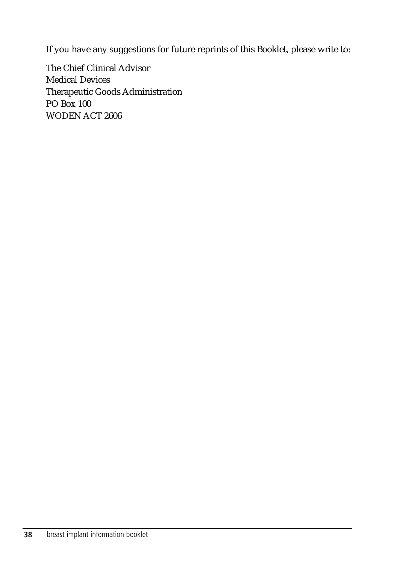If you have any suggestions for future reprints of this Booklet, please write to:

The Chief Clinical Advisor Medical Devices Therapeutic Goods Administration PO Box 100 WODEN ACT 2606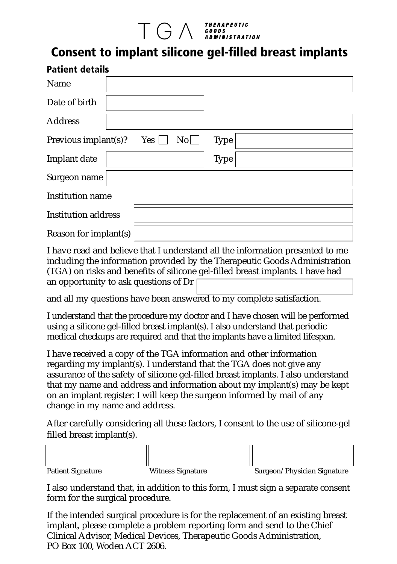# $\prod$   $\bigodot$   $\bigwedge$   $\bigwedge$   $\bigwedge$   $\bigwedge$   $\bigwedge$   $\bigwedge$   $\bigwedge$   $\bigwedge$   $\bigwedge$   $\bigwedge$   $\bigwedge$   $\bigwedge$   $\bigwedge$   $\bigwedge$   $\bigwedge$   $\bigwedge$   $\bigwedge$   $\bigwedge$   $\bigwedge$   $\bigwedge$   $\bigwedge$   $\bigwedge$   $\bigwedge$   $\bigwedge$   $\bigwedge$   $\bigwedge$   $\bigwedge$   $\bigwedge$   $\bigwedge$   $\bigwedge$

## **Consent to implant silicone gel-filled breast implants**

| <b>Patient details</b>      |                                       |  |  |  |
|-----------------------------|---------------------------------------|--|--|--|
| Name                        |                                       |  |  |  |
| Date of birth               |                                       |  |  |  |
| <b>Address</b>              |                                       |  |  |  |
| Yes<br>Previous implant(s)? | $\overline{\text{No}}$<br><b>Type</b> |  |  |  |
| Implant date                | <b>Type</b>                           |  |  |  |
| Surgeon name                |                                       |  |  |  |
| <b>Institution name</b>     |                                       |  |  |  |
| <b>Institution address</b>  |                                       |  |  |  |
| Reason for implant(s)       |                                       |  |  |  |

I have read and believe that I understand all the information presented to me including the information provided by the Therapeutic Goods Administration (TGA) on risks and benefits of silicone gel-filled breast implants. I have had an opportunity to ask questions of Dr

and all my questions have been answered to my complete satisfaction.

I understand that the procedure my doctor and I have chosen will be performed using a silicone gel-filled breast implant(s). I also understand that periodic medical checkups are required and that the implants have a limited lifespan.

I have received a copy of the TGA information and other information regarding my implant(s). I understand that the TGA does not give any assurance of the safety of silicone gel-filled breast implants. I also understand that my name and address and information about my implant(s) may be kept on an implant register. I will keep the surgeon informed by mail of any change in my name and address.

After carefully considering all these factors, I consent to the use of silicone-gel filled breast implant(s).

| <b>Patient Signature</b> | <b>Witness Signature</b> | Surgeon/Physician Signature |
|--------------------------|--------------------------|-----------------------------|

I also understand that, in addition to this form, I must sign a separate consent form for the surgical procedure.

If the intended surgical procedure is for the replacement of an existing breast implant, please complete a problem reporting form and send to the Chief Clinical Advisor, Medical Devices, Therapeutic Goods Administration, PO Box 100, Woden ACT 2606.